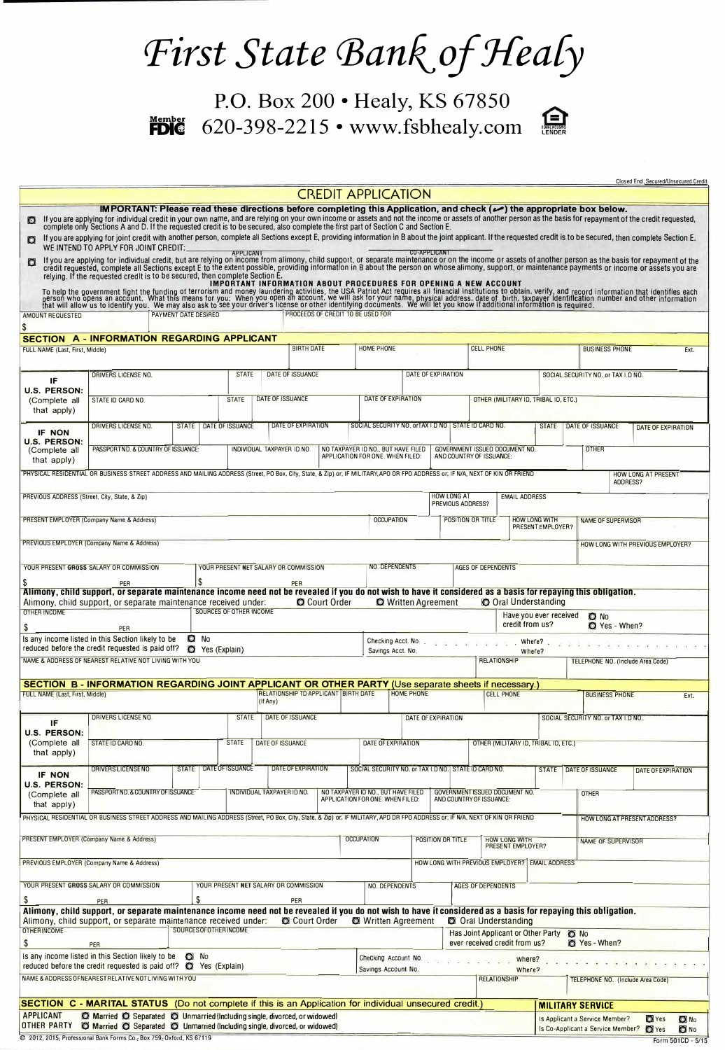## First State Bank of Healy

**Member FDIG**  P.O. Box 200 • Healy, KS 67850 620-398-2215 • www.fsbhealy.com



| Closed End. Secured/Unsecured Credit |
|--------------------------------------|
|                                      |

|                                                                                     |                                                                                                                                                                                                                                                                                                                                                                                                                                                                                                                                                                                                                                                                                                                                                                                                                                  |                         |               |                         |                                       |                           |                           | <b>CREDIT APPLICATION</b>                                              |                                             |                                      |                                                      |                                                                |                                                            |                                                |                                                                          |                                  |                         |
|-------------------------------------------------------------------------------------|----------------------------------------------------------------------------------------------------------------------------------------------------------------------------------------------------------------------------------------------------------------------------------------------------------------------------------------------------------------------------------------------------------------------------------------------------------------------------------------------------------------------------------------------------------------------------------------------------------------------------------------------------------------------------------------------------------------------------------------------------------------------------------------------------------------------------------|-------------------------|---------------|-------------------------|---------------------------------------|---------------------------|---------------------------|------------------------------------------------------------------------|---------------------------------------------|--------------------------------------|------------------------------------------------------|----------------------------------------------------------------|------------------------------------------------------------|------------------------------------------------|--------------------------------------------------------------------------|----------------------------------|-------------------------|
| n                                                                                   | IMPORTANT: Please read these directions before completing this Application, and check (م) the appropriate box below.<br>If you are applying for individual credit in your own name, and are relying on your own income or assets and not the income or assets of another person as the basis for repayment of the credit requested, complete only Sect<br>If you are applying for joint credit with another person, complete all Sections except E, providing information in B about the joint applicant. If the requested credit is to be secured, then complete Section E.<br>WE INTEND TO APPLY FOR JOINT CREDIT:<br>If you are applying for individual credit, but are relying on income from alimony, child support, or separate maintenance or on the income or assets of another person as the basis for repayment of the |                         |               | <b>APPLICANT</b>        |                                       |                           |                           |                                                                        |                                             | <b>CO-APPLICANT</b>                  |                                                      |                                                                |                                                            |                                                |                                                                          |                                  |                         |
| o                                                                                   | credit requested, complete all Sections except E to the extent possible, providing information in B about the person on whose alimony, support, or maintenance payments or income or assets you are<br>relying. If the requested<br>To help the government fight in the funding of terrorism and money lambelland ring and record information that identifies each of the government fight in the funding of terrorism and money laundering activities, the USA Pa                                                                                                                                                                                                                                                                                                                                                               |                         |               |                         |                                       |                           |                           |                                                                        |                                             |                                      |                                                      |                                                                |                                                            |                                                |                                                                          |                                  |                         |
| AMOUNT REQUESTED<br>S                                                               |                                                                                                                                                                                                                                                                                                                                                                                                                                                                                                                                                                                                                                                                                                                                                                                                                                  | PAYMENT DATE DESIRED    |               |                         |                                       |                           |                           | PROCEEDS OF CREDIT TO BE USED FOR                                      |                                             |                                      |                                                      |                                                                |                                                            |                                                |                                                                          |                                  |                         |
| FULL NAME (Last, First, Middle)                                                     | SECTION A - INFORMATION REGARDING APPLICANT                                                                                                                                                                                                                                                                                                                                                                                                                                                                                                                                                                                                                                                                                                                                                                                      |                         |               |                         |                                       | <b>BIRTH DATE</b>         |                           | <b>HOME PHONE</b>                                                      |                                             |                                      |                                                      | <b>CELL PHONE</b>                                              |                                                            |                                                | <b>BUSINESS PHONE</b>                                                    |                                  | Ext.                    |
|                                                                                     |                                                                                                                                                                                                                                                                                                                                                                                                                                                                                                                                                                                                                                                                                                                                                                                                                                  |                         |               |                         |                                       |                           |                           |                                                                        |                                             |                                      |                                                      |                                                                |                                                            |                                                |                                                                          |                                  |                         |
| IF                                                                                  | <b>DRIVERS LICENSE NO.</b>                                                                                                                                                                                                                                                                                                                                                                                                                                                                                                                                                                                                                                                                                                                                                                                                       |                         |               | <b>STATE</b>            | DATE OF ISSUANCE                      |                           |                           |                                                                        | DATE OF EXPIRATION                          |                                      |                                                      |                                                                |                                                            |                                                | SOCIAL SECURITY NO. or TAX I.D NO.                                       |                                  |                         |
| U.S. PERSON:<br>(Complete all<br>that apply)                                        | STATE ID CARD NO.                                                                                                                                                                                                                                                                                                                                                                                                                                                                                                                                                                                                                                                                                                                                                                                                                |                         | <b>STATE</b>  | DATE OF ISSUANCE        |                                       |                           | <b>DATE OF EXPIRATION</b> |                                                                        |                                             | OTHER (MILITARY ID, TRIBAL ID, ETC.) |                                                      |                                                                |                                                            |                                                |                                                                          |                                  |                         |
| IF NON                                                                              | <b>DRIVERS LICENSE ND.</b>                                                                                                                                                                                                                                                                                                                                                                                                                                                                                                                                                                                                                                                                                                                                                                                                       | <b>STATE</b>            |               | DATE OF ISSUANCE        |                                       | <b>DATE OF EXPIRATION</b> |                           |                                                                        |                                             |                                      | SOCIAL SECURITY NO. orTAX I.D NO. STATE ID CARD NO.  |                                                                |                                                            | <b>STATE</b>                                   | DATE OF ISSUANCE                                                         | <b>DATE OF EXPIRATION</b>        |                         |
| <b>U.S. PERSON:</b><br>(Complete all<br>that apply)                                 | PASSPORTND. & COUNTRY OF ISSUANCE:                                                                                                                                                                                                                                                                                                                                                                                                                                                                                                                                                                                                                                                                                                                                                                                               |                         |               |                         | INDIVIDUAL TAXPAYER ID NO.            |                           |                           | NO TAXPAYER ID NO., BUT HAVE FILED<br>APPLICATION FOR ONE. WHEN FILED: |                                             |                                      |                                                      | GOVERNMENT ISSUED DOCUMENT NO.<br>AND COUNTRY OF ISSUANCE:     |                                                            |                                                | <b>OTHER</b>                                                             |                                  |                         |
|                                                                                     | PHYSICAL RESIDENTIAL OR BUSINESS STREET ADDRESS AND MAILING ADDRESS (Street, PO Box, City, State, & Zip) or; IF MILITARY, APO OR FPO ADDRESS or; IF N/A, NEXT OF KIN OR FRIEND                                                                                                                                                                                                                                                                                                                                                                                                                                                                                                                                                                                                                                                   |                         |               |                         |                                       |                           |                           |                                                                        |                                             |                                      |                                                      |                                                                |                                                            |                                                |                                                                          | HOW LONG AT PRESENT<br>ADDRESS?  |                         |
| PREVIOUS ADDRESS (Street, City, State, & Zip)                                       |                                                                                                                                                                                                                                                                                                                                                                                                                                                                                                                                                                                                                                                                                                                                                                                                                                  |                         |               |                         |                                       |                           |                           |                                                                        |                                             |                                      | <b>HOW LONG AT</b><br>PREVIOUS ADDRESS?              |                                                                | <b>EMAIL ADDRESS</b>                                       |                                                |                                                                          |                                  |                         |
|                                                                                     | PRESENT EMPLOYER (Company Name & Address)                                                                                                                                                                                                                                                                                                                                                                                                                                                                                                                                                                                                                                                                                                                                                                                        |                         |               |                         |                                       |                           |                           |                                                                        | <b>OCCUPATION</b>                           |                                      |                                                      | <b>HOW LONG WITH</b><br>POSITION OR TITLE<br>PRESENT EMPLOYER? |                                                            |                                                | <b>NAME OF SUPERVISOR</b>                                                |                                  |                         |
|                                                                                     | PREVIOUS EMPLOYER (Company Name & Address)                                                                                                                                                                                                                                                                                                                                                                                                                                                                                                                                                                                                                                                                                                                                                                                       |                         |               |                         |                                       |                           |                           |                                                                        |                                             |                                      |                                                      |                                                                |                                                            |                                                |                                                                          | HOW LONG WITH PREVIOUS EMPLOYER? |                         |
|                                                                                     | YOUR PRESENT GROSS SALARY OR COMMISSION                                                                                                                                                                                                                                                                                                                                                                                                                                                                                                                                                                                                                                                                                                                                                                                          |                         |               |                         | YOUR PRESENT NET SALARY OR COMMISSION |                           |                           |                                                                        | NO. DEPENDENTS                              |                                      |                                                      | <b>AGES OF DEPENDENTS</b>                                      |                                                            |                                                |                                                                          |                                  |                         |
|                                                                                     | PER<br>Alimony, child support, or separate maintenance income need not be revealed if you do not wish to have it considered as a basis for repaying this obligation.<br>Alimony, child support, or separate maintenance received under:                                                                                                                                                                                                                                                                                                                                                                                                                                                                                                                                                                                          | S                       |               |                         |                                       | PER                       | C Court Order             |                                                                        | <b>Q</b> Written Agreement                  |                                      |                                                      |                                                                | <b>O</b> Oral Understanding                                |                                                |                                                                          |                                  |                         |
| <b>OTHER INCOME</b>                                                                 |                                                                                                                                                                                                                                                                                                                                                                                                                                                                                                                                                                                                                                                                                                                                                                                                                                  |                         |               | SOURCES OF OTHER INCOME |                                       |                           |                           |                                                                        |                                             |                                      |                                                      |                                                                |                                                            | Have you ever received                         | <b>O</b> No                                                              |                                  |                         |
| S                                                                                   | PER<br>Is any income listed in this Section likely to be                                                                                                                                                                                                                                                                                                                                                                                                                                                                                                                                                                                                                                                                                                                                                                         | $\Omega$ No             |               |                         |                                       |                           |                           |                                                                        | Checking Acct. No.                          |                                      |                                                      | $97 - 97 - 97 - 1$                                             | credit from us?<br>Where?                                  |                                                | Yes - When?                                                              |                                  |                         |
|                                                                                     | reduced before the credit requested is paid off?<br>NAME & ADDRESS OF NEAREST RELATIVE NOT LIVING WITH YOU                                                                                                                                                                                                                                                                                                                                                                                                                                                                                                                                                                                                                                                                                                                       | o                       | Yes (Explain) |                         |                                       |                           |                           |                                                                        | Savings Acct. No.                           |                                      |                                                      | <b>RELATIONSHIP</b>                                            | Where?                                                     |                                                | TELEPHONE NO. (Include Area Code)                                        |                                  |                         |
|                                                                                     | SECTION B - INFORMATION REGARDING JOINT APPLICANT OR OTHER PARTY (Use separate sheets if necessary.)                                                                                                                                                                                                                                                                                                                                                                                                                                                                                                                                                                                                                                                                                                                             |                         |               |                         |                                       |                           |                           |                                                                        |                                             |                                      |                                                      |                                                                |                                                            |                                                |                                                                          |                                  |                         |
| FULL NAME (Last, First, Middle)                                                     |                                                                                                                                                                                                                                                                                                                                                                                                                                                                                                                                                                                                                                                                                                                                                                                                                                  |                         |               |                         | (If Any)                              |                           |                           | <b>RELATIONSHIP TD APPLICANT BIRTH DATE</b>                            | <b>HOME PHONE</b>                           |                                      |                                                      |                                                                | <b>CELL PHONE</b>                                          |                                                | <b>BUSINESS PHONE</b>                                                    |                                  | Ext.                    |
| IF                                                                                  | DRIVERS LICENSE NO.                                                                                                                                                                                                                                                                                                                                                                                                                                                                                                                                                                                                                                                                                                                                                                                                              |                         |               |                         | STATE   DATE OF ISSUANCE              |                           |                           |                                                                        | DATE OF EXPIRATION                          |                                      |                                                      | SOCIAL SECURITY NO. or TAX I.D NO.                             |                                                            |                                                |                                                                          |                                  |                         |
| U.S. PERSON:<br>(Complete all<br>that apply)                                        | STATE ID CARD NO.                                                                                                                                                                                                                                                                                                                                                                                                                                                                                                                                                                                                                                                                                                                                                                                                                |                         |               | <b>STATE</b>            | DATE OF ISSUANCE                      |                           |                           |                                                                        | <b>DATE OF EXPIRATION</b>                   |                                      |                                                      | OTHER (MILITARY ID, TRIBAL ID, ETC.)                           |                                                            |                                                |                                                                          |                                  |                         |
| IF NON                                                                              | DRIVERS LICENSENO.                                                                                                                                                                                                                                                                                                                                                                                                                                                                                                                                                                                                                                                                                                                                                                                                               |                         |               | STATE DATE OF ISSUANCE  |                                       | <b>DATE OF EXPIRATION</b> |                           |                                                                        |                                             |                                      | SOCIAL SECURITY NO. or TAX I.D NO. STATE ID CARD NO. |                                                                |                                                            | STATE                                          | DATE OF ISSUANCE                                                         | <b>DATE OF EXPIRATION</b>        |                         |
| U.S. PERSON:<br>(Complete all<br>that apply)                                        | PASSPORT ND. & COUNTRY OF ISSUANCE:                                                                                                                                                                                                                                                                                                                                                                                                                                                                                                                                                                                                                                                                                                                                                                                              |                         |               |                         | INDIVIDUAL TAXPAYER ID NO.            |                           |                           | NO TAXPAYER ID NO., BUT HAVE FILED<br>APPLICATION FOR ONE. WHEN FILED: |                                             |                                      |                                                      |                                                                | GOVERNMENT ISSUED DOCUMENT NO.<br>AND COUNTRY OF ISSUANCE: |                                                | <b>OTHER</b>                                                             |                                  |                         |
|                                                                                     | PHYSICAL RESIDENTIAL OR BUSINESS STREET ADDRESS AND MAILING ADDRESS (Street, PO Box, City, State, & Zip) or; IF MILITARY, APD DR FPO ADDRESS or; IF N/A, NEXT OF KIN OR FRIEND                                                                                                                                                                                                                                                                                                                                                                                                                                                                                                                                                                                                                                                   |                         |               |                         |                                       |                           |                           |                                                                        |                                             |                                      |                                                      |                                                                |                                                            |                                                |                                                                          | HOW LONG AT PRESENT ADDRESS?     |                         |
| PRESENT EMPLOYER (Company Name & Address)<br><b>OCCUPATION</b><br>POSITION OR TITLE |                                                                                                                                                                                                                                                                                                                                                                                                                                                                                                                                                                                                                                                                                                                                                                                                                                  |                         |               |                         |                                       |                           |                           | <b>HOW LONG WITH<br/>PRESENT EMPLOYER?</b>                             |                                             |                                      | <b>NAME OF SUPERVISOR</b>                            |                                                                |                                                            |                                                |                                                                          |                                  |                         |
|                                                                                     | PREVIOUS EMPLOYER (Company Name & Address)                                                                                                                                                                                                                                                                                                                                                                                                                                                                                                                                                                                                                                                                                                                                                                                       |                         |               |                         |                                       |                           |                           |                                                                        |                                             |                                      |                                                      |                                                                |                                                            | HOW LONG WITH PREVIOUS EMPLOYER? EMAIL ADDRESS |                                                                          |                                  |                         |
| \$                                                                                  | YOUR PRESENT GROSS SALARY OR COMMISSION<br>PER                                                                                                                                                                                                                                                                                                                                                                                                                                                                                                                                                                                                                                                                                                                                                                                   | \$                      |               |                         | YOUR PRESENT NET SALARY OR COMMISSION | PER                       |                           |                                                                        | NO. DEPENDENTS                              |                                      |                                                      | <b>AGES OF DEPENDENTS</b>                                      |                                                            |                                                |                                                                          |                                  |                         |
|                                                                                     | Alimony, child support, or separate maintenance income need not be revealed if you do not wish to have it considered as a basis for repaying this obligation.<br>Alimony, child support, or separate maintenance received under:                                                                                                                                                                                                                                                                                                                                                                                                                                                                                                                                                                                                 |                         |               |                         |                                       | C Court Order             |                           |                                                                        | <b>O</b> Written Agreement                  |                                      |                                                      |                                                                | <b>C</b> Oral Understanding                                |                                                |                                                                          |                                  |                         |
| <b>OTHERINCOME</b><br>\$                                                            | PER                                                                                                                                                                                                                                                                                                                                                                                                                                                                                                                                                                                                                                                                                                                                                                                                                              | SOURCES OF OTHER INCOME |               |                         |                                       |                           |                           |                                                                        |                                             |                                      |                                                      |                                                                | ever received credit from us?                              | Has Joint Applicant or Other Party C No        | Yes - When?                                                              |                                  |                         |
|                                                                                     | Is any income listed in this Section likely to be Q No<br>reduced before the credit requested is paid off? $\bullet$ Yes (Explain)                                                                                                                                                                                                                                                                                                                                                                                                                                                                                                                                                                                                                                                                                               |                         |               |                         |                                       |                           |                           |                                                                        | Checking Account No.<br>Savings Account No. |                                      |                                                      |                                                                | where? $\overline{a}$<br>Where?                            |                                                |                                                                          |                                  |                         |
|                                                                                     | NAME & ADDRESS OF NEAREST RELATIVE NOT LIVING WITH YOU                                                                                                                                                                                                                                                                                                                                                                                                                                                                                                                                                                                                                                                                                                                                                                           |                         |               |                         |                                       |                           |                           |                                                                        |                                             |                                      |                                                      |                                                                | <b>RELATIONSHIP</b>                                        |                                                | TELEPHONE NO. (Include Area Code)                                        |                                  |                         |
|                                                                                     | <b>SECTION C - MARITAL STATUS</b> (Do not complete if this is an Application for individual unsecured credit.)                                                                                                                                                                                                                                                                                                                                                                                                                                                                                                                                                                                                                                                                                                                   |                         |               |                         |                                       |                           |                           |                                                                        |                                             |                                      |                                                      |                                                                |                                                            |                                                | <b>MILITARY SERVICE</b>                                                  |                                  |                         |
| <b>APPLICANT</b>                                                                    | O Married O Separated O Unmarried (Including single, divorced, or widowed)<br>OTHER PARTY O Married O Separated O Unmarried (Including single, divorced, or widowed)                                                                                                                                                                                                                                                                                                                                                                                                                                                                                                                                                                                                                                                             |                         |               |                         |                                       |                           |                           |                                                                        |                                             |                                      |                                                      |                                                                |                                                            |                                                | Is Applicant a Service Member?<br>Is Co-Applicant a Service Member? Tyes | $\Box$ Yes                       | $\n  0\n  No\n$<br>O No |
|                                                                                     | 2012, 2015; Professional Bank Forms Co.; Box 759; Oxford, KS 67119                                                                                                                                                                                                                                                                                                                                                                                                                                                                                                                                                                                                                                                                                                                                                               |                         |               |                         |                                       |                           |                           |                                                                        |                                             |                                      |                                                      |                                                                |                                                            |                                                |                                                                          |                                  | Form 501CD - 5/15       |